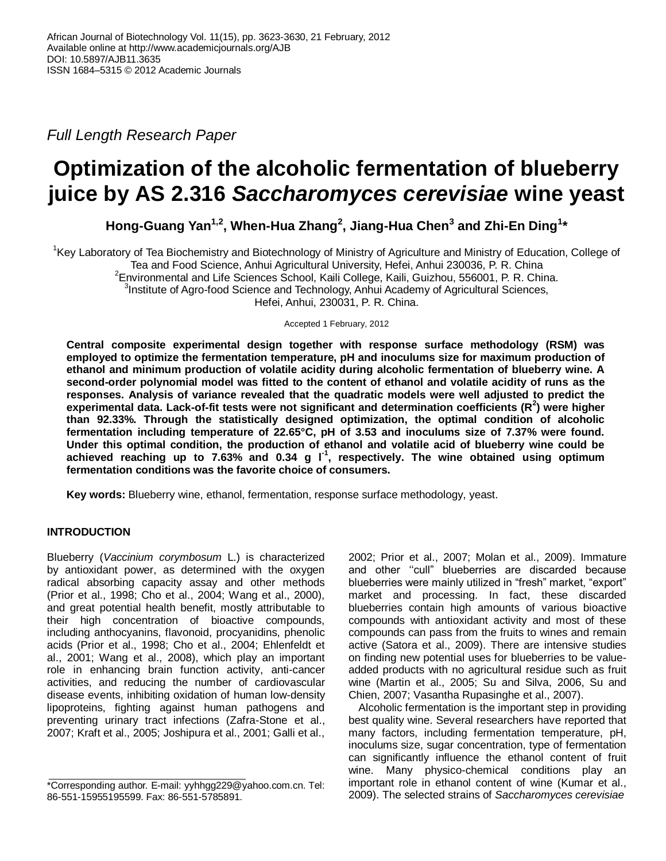*Full Length Research Paper*

# **Optimization of the alcoholic fermentation of blueberry juice by AS 2.316** *Saccharomyces cerevisiae* **wine yeast**

**Hong-Guang Yan1,2, When-Hua Zhang<sup>2</sup> , Jiang-Hua Chen<sup>3</sup> and Zhi-En Ding<sup>1</sup> \***

<sup>1</sup>Key Laboratory of Tea Biochemistry and Biotechnology of Ministry of Agriculture and Ministry of Education, College of Tea and Food Science, Anhui Agricultural University, Hefei, Anhui 230036, P. R. China  $2$ Environmental and Life Sciences School, Kaili College, Kaili, Guizhou, 556001, P. R. China. <sup>3</sup>Institute of Agro-food Science and Technology, Anhui Academy of Agricultural Sciences, Hefei, Anhui, 230031, P. R. China.

Accepted 1 February, 2012

**Central composite experimental design together with response surface methodology (RSM) was employed to optimize the fermentation temperature, pH and inoculums size for maximum production of ethanol and minimum production of volatile acidity during alcoholic fermentation of blueberry wine. A second-order polynomial model was fitted to the content of ethanol and volatile acidity of runs as the responses. Analysis of variance revealed that the quadratic models were well adjusted to predict the experimental data. Lack-of-fit tests were not significant and determination coefficients (R<sup>2</sup> ) were higher than 92.33%. Through the statistically designed optimization, the optimal condition of alcoholic fermentation including temperature of 22.65°C, pH of 3.53 and inoculums size of 7.37% were found. Under this optimal condition, the production of ethanol and volatile acid of blueberry wine could be achieved reaching up to 7.63% and 0.34 g l-1 , respectively. The wine obtained using optimum fermentation conditions was the favorite choice of consumers.**

**Key words:** Blueberry wine, ethanol, fermentation, response surface methodology, yeast.

## **INTRODUCTION**

Blueberry (*Vaccinium corymbosum* L.) is characterized by antioxidant power, as determined with the oxygen radical absorbing capacity assay and other methods (Prior et al., 1998; Cho et al., 2004; Wang et al., 2000), and great potential health benefit, mostly attributable to their high concentration of bioactive compounds, including anthocyanins, flavonoid, procyanidins, phenolic acids (Prior et al., 1998; Cho et al., 2004; Ehlenfeldt et al., 2001; Wang et al., 2008), which play an important role in enhancing brain function activity, anti-cancer activities, and reducing the number of cardiovascular disease events, inhibiting oxidation of human low-density lipoproteins, fighting against human pathogens and preventing urinary tract infections (Zafra-Stone et al., 2007; Kraft et al., 2005; Joshipura et al., 2001; Galli et al.,

2002; Prior et al., 2007; Molan et al., 2009). Immature and other "cull" blueberries are discarded because blueberries were mainly utilized in "fresh" market, "export" market and processing. In fact, these discarded blueberries contain high amounts of various bioactive compounds with antioxidant activity and most of these compounds can pass from the fruits to wines and remain active (Satora et al., 2009). There are intensive studies on finding new potential uses for blueberries to be valueadded products with no agricultural residue such as fruit wine (Martin et al., 2005; Su and Silva, 2006, Su and Chien, 2007; Vasantha Rupasinghe et al., 2007).

Alcoholic fermentation is the important step in providing best quality wine. Several researchers have reported that many factors, including fermentation temperature, pH, inoculums size, sugar concentration, type of fermentation can significantly influence the ethanol content of fruit wine. Many physico-chemical conditions play an important role in ethanol content of wine (Kumar et al., 2009). The selected strains of *Saccharomyces cerevisiae*

<sup>\*</sup>Corresponding author. E-mail: yyhhgg229@yahoo.com.cn. Tel: 86-551-15955195599. Fax: 86-551-5785891.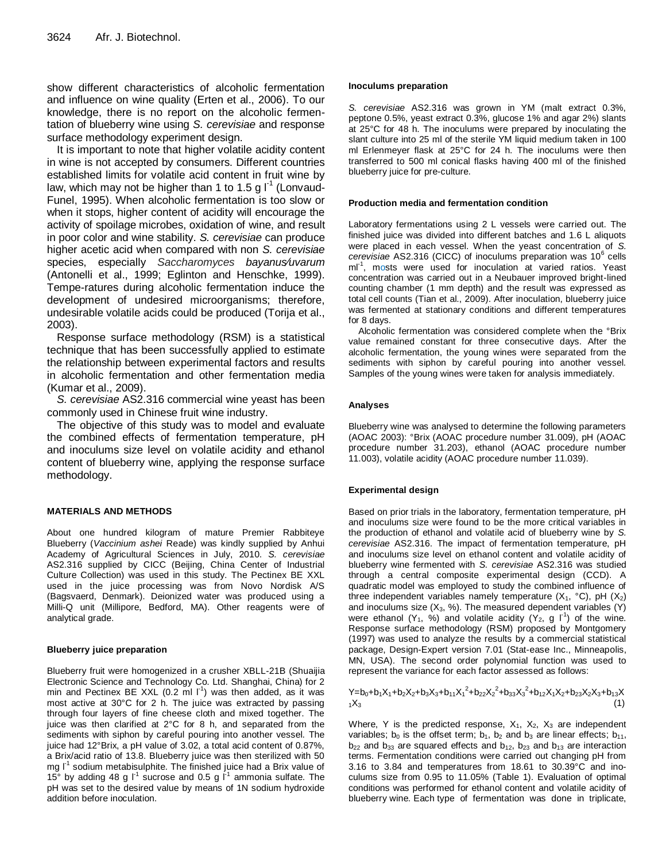show different characteristics of alcoholic fermentation and influence on wine quality (Erten et al., 2006). To our knowledge, there is no report on the alcoholic fermentation of blueberry wine using *S. cerevisiae* and response surface methodology experiment design.

It is important to note that higher volatile acidity content in wine is not accepted by consumers. Different countries established limits for volatile acid content in fruit wine by law, which may not be higher than 1 to 1.5 g  $I<sup>-1</sup>$  (Lonvaud-Funel, 1995). When alcoholic fermentation is too slow or when it stops, higher content of acidity will encourage the activity of spoilage microbes, oxidation of wine, and result in poor color and wine stability. *S. cerevisiae* can produce higher acetic acid when compared with non *S. cerevisiae* species, especially *Saccharomyces bayanus*⁄*uvarum* (Antonelli et al., 1999; Eglinton and Henschke, 1999). Tempe-ratures during alcoholic fermentation induce the development of undesired microorganisms; therefore, undesirable volatile acids could be produced (Torija et al., 2003).

Response surface methodology (RSM) is a statistical technique that has been successfully applied to estimate the relationship between experimental factors and results in alcoholic fermentation and other fermentation media (Kumar et al., 2009).

*S. cerevisiae* AS2.316 commercial wine yeast has been commonly used in Chinese fruit wine industry.

The objective of this study was to model and evaluate the combined effects of fermentation temperature, pH and inoculums size level on volatile acidity and ethanol content of blueberry wine, applying the response surface methodology.

## **MATERIALS AND METHODS**

About one hundred kilogram of mature Premier Rabbiteye Blueberry (*Vaccinium ashei* Reade) was kindly supplied by Anhui Academy of Agricultural Sciences in July, 2010. *S. cerevisiae* AS2.316 supplied by CICC (Beijing, China Center of Industrial Culture Collection) was used in this study. The Pectinex BE XXL used in the juice processing was from Novo Nordisk A/S (Bagsvaerd, Denmark). Deionized water was produced using a Milli-Q unit (Millipore, Bedford, MA). Other reagents were of analytical grade.

#### **Blueberry juice preparation**

Blueberry fruit were homogenized in a crusher XBLL-21B (Shuaijia Electronic Science and Technology Co. Ltd. Shanghai, China) for 2 min and Pectinex BE XXL (0.2 ml  $\Gamma$ <sup>1</sup>) was then added, as it was most active at 30°C for 2 h. The juice was extracted by passing through four layers of fine cheese cloth and mixed together. The juice was then clarified at 2°C for 8 h, and separated from the sediments with siphon by careful pouring into another vessel. The juice had 12°Brix, a pH value of 3.02, a total acid content of 0.87%, a Brix/acid ratio of 13.8. Blueberry juice was then sterilized with 50 mg I<sup>-1</sup> sodium metabisulphite. The finished juice had a Brix value of 15 $\degree$  by adding 48 g I<sup>1</sup> sucrose and 0.5 g I<sup>-1</sup> ammonia sulfate. The pH was set to the desired value by means of 1N sodium hydroxide addition before inoculation.

#### **Inoculums preparation**

*S. cerevisiae* AS2.316 was grown in YM (malt extract 0.3%, peptone 0.5%, yeast extract 0.3%, glucose 1% and agar 2%) slants at 25°C for 48 h. The inoculums were prepared by inoculating the slant culture into 25 ml of the sterile YM liquid medium taken in 100 ml Erlenmeyer flask at 25°C for 24 h. The inoculums were then transferred to 500 ml conical flasks having 400 ml of the finished blueberry juice for pre-culture.

#### **Production media and fermentation condition**

Laboratory fermentations using 2 L vessels were carried out. The finished juice was divided into different batches and 1.6 L aliquots were placed in each vessel. When the yeast concentration of *S.*  cerevisiae AS2.316 (CICC) of inoculums preparation was 10<sup>6</sup> cells ml<sup>-1</sup>, mosts were used for inoculation at varied ratios. Yeast concentration was carried out in a Neubauer improved bright-lined counting chamber (1 mm depth) and the result was expressed as total cell counts (Tian et al., 2009). After inoculation, blueberry juice was fermented at stationary conditions and different temperatures for 8 days.

Alcoholic fermentation was considered complete when the °Brix value remained constant for three consecutive days. After the alcoholic fermentation, the young wines were separated from the sediments with siphon by careful pouring into another vessel. Samples of the young wines were taken for analysis immediately.

#### **Analyses**

Blueberry wine was analysed to determine the following parameters (AOAC 2003): °Brix (AOAC procedure number 31.009), pH (AOAC procedure number 31.203), ethanol (AOAC procedure number 11.003), volatile acidity (AOAC procedure number 11.039).

## **Experimental design**

Based on prior trials in the laboratory, fermentation temperature, pH and inoculums size were found to be the more critical variables in the production of ethanol and volatile acid of blueberry wine by *S. cerevisiae* AS2.316. The impact of fermentation temperature, pH and inoculums size level on ethanol content and volatile acidity of blueberry wine fermented with *S. cerevisiae* AS2.316 was studied through a central composite experimental design (CCD). A quadratic model was employed to study the combined influence of three independent variables namely temperature  $(X_1, {}^{\circ}C)$ , pH  $(X_2)$ and inoculums size  $(X_3, %)$ . The measured dependent variables  $(Y)$ were ethanol  $(Y_1, Y_2)$  and volatile acidity  $(Y_2, g \, \Gamma^1)$  of the wine. Response surface methodology (RSM) proposed by Montgomery (1997) was used to analyze the results by a commercial statistical package, Design-Expert version 7.01 (Stat-ease Inc., Minneapolis, MN, USA). The second order polynomial function was used to represent the variance for each factor assessed as follows:

 $Y=b_0+b_1X_1+b_2X_2+b_3X_3+b_{11}X_1^2+b_{22}X_2^2+b_{33}X_3^2+b_{12}X_1X_2+b_{23}X_2X_3+b_{13}X_3$  $_{1}\mathsf{X}_{3}$  (1)

Where, Y is the predicted response,  $X_1$ ,  $X_2$ ,  $X_3$  are independent variables;  $b_0$  is the offset term;  $b_1$ ,  $b_2$  and  $b_3$  are linear effects;  $b_{11}$ ,  $b_{22}$  and  $b_{33}$  are squared effects and  $b_{12}$ ,  $b_{23}$  and  $b_{13}$  are interaction terms. Fermentation conditions were carried out changing pH from 3.16 to 3.84 and temperatures from 18.61 to 30.39°C and inoculums size from 0.95 to 11.05% (Table 1). Evaluation of optimal conditions was performed for ethanol content and volatile acidity of blueberry wine. Each type of fermentation was done in triplicate,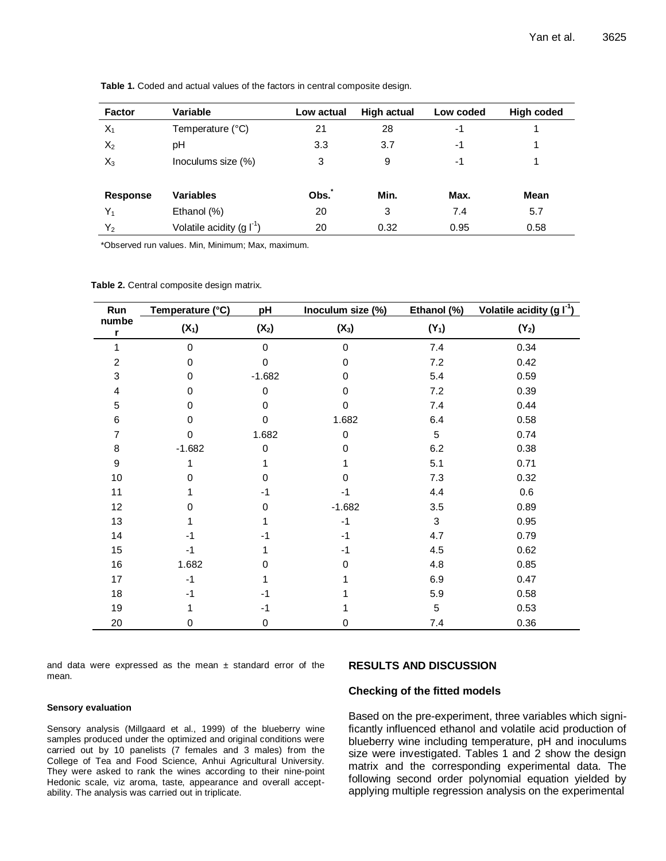| <b>Factor</b>   | Variable                 | Low actual | <b>High actual</b> | Low coded | <b>High coded</b> |
|-----------------|--------------------------|------------|--------------------|-----------|-------------------|
| $X_1$           | Temperature (°C)         | 21         | 28                 | -1        |                   |
| $X_2$           | рH                       | 3.3        | 3.7                | -1        |                   |
| $X_3$           | Inoculums size (%)       | 3          | 9                  | $-1$      |                   |
|                 |                          |            |                    |           |                   |
| <b>Response</b> | <b>Variables</b>         | Obs.       | Min.               | Max.      | <b>Mean</b>       |
| Y,              | Ethanol (%)              | 20         | 3                  | 7.4       | 5.7               |
| $Y_2$           | Volatile acidity $(g f)$ | 20         | 0.32               | 0.95      | 0.58              |

**Table 1.** Coded and actual values of the factors in central composite design.

\*Observed run values. Min, Minimum; Max, maximum.

|  | Table 2. Central composite design matrix. |  |  |
|--|-------------------------------------------|--|--|
|  |                                           |  |  |

| Run              | Temperature (°C) | pH          | Inoculum size (%) | Ethanol (%) | Volatile acidity (g $I^1$ ) |  |
|------------------|------------------|-------------|-------------------|-------------|-----------------------------|--|
| numbe<br>r       | $(X_1)$          | $(X_2)$     | $(X_3)$           | $(Y_1)$     | $(Y_2)$                     |  |
|                  | $\Omega$         | $\mathbf 0$ | $\Omega$          | 7.4         | 0.34                        |  |
| $\overline{c}$   | 0                | 0           | $\Omega$          | 7.2         | 0.42                        |  |
| 3                | 0                | $-1.682$    | 0                 | 5.4         | 0.59                        |  |
| 4                | 0                | 0           | 0                 | 7.2         | 0.39                        |  |
| $\mathbf 5$      | 0                | 0           | $\Omega$          | 7.4         | 0.44                        |  |
| 6                | $\Omega$         | $\mathbf 0$ | 1.682             | 6.4         | 0.58                        |  |
| $\overline{7}$   | $\Omega$         | 1.682       | 0                 | 5           | 0.74                        |  |
| 8                | $-1.682$         | 0           | 0                 | 6.2         | 0.38                        |  |
| $\boldsymbol{9}$ |                  |             |                   | 5.1         | 0.71                        |  |
| 10               | 0                | $\Omega$    | $\Omega$          | 7.3         | 0.32                        |  |
| 11               |                  | $-1$        | -1                | 4.4         | 0.6                         |  |
| 12               | U                | 0           | $-1.682$          | 3.5         | 0.89                        |  |
| 13               |                  |             | $-1$              | 3           | 0.95                        |  |
| 14               | -1               | $-1$        | $-1$              | 4.7         | 0.79                        |  |
| 15               | $-1$             | 1           | $-1$              | 4.5         | 0.62                        |  |
| 16               | 1.682            | 0           | 0                 | 4.8         | 0.85                        |  |
| 17               | $-1$             | 1           |                   | 6.9         | 0.47                        |  |
| 18               | -1               | $-1$        |                   | 5.9         | 0.58                        |  |
| 19               |                  | $-1$        |                   | 5           | 0.53                        |  |
| 20               | 0                | 0           | 0                 | 7.4         | 0.36                        |  |

and data were expressed as the mean  $\pm$  standard error of the mean.

#### **RESULTS AND DISCUSSION**

#### **Checking of the fitted models**

**Sensory evaluation**

Sensory analysis (Millgaard et al., 1999) of the blueberry wine samples produced under the optimized and original conditions were carried out by 10 panelists (7 females and 3 males) from the College of Tea and Food Science, Anhui Agricultural University. They were asked to rank the wines according to their nine-point Hedonic scale, viz aroma, taste, appearance and overall acceptability. The analysis was carried out in triplicate.

Based on the pre-experiment, three variables which significantly influenced ethanol and volatile acid production of blueberry wine including temperature, pH and inoculums size were investigated. Tables 1 and 2 show the design matrix and the corresponding experimental data. The following second order polynomial equation yielded by applying multiple regression analysis on the experimental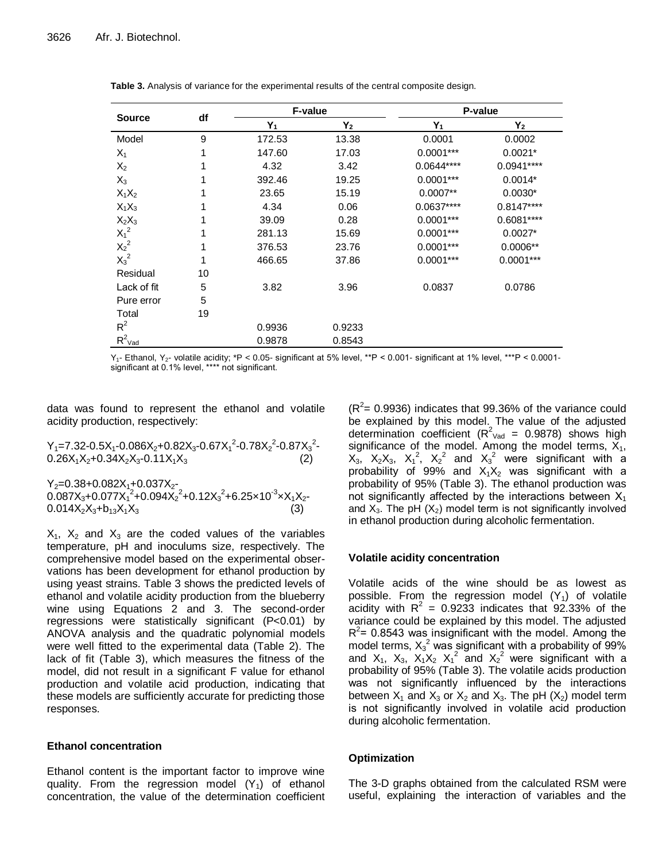| <b>Source</b>        | df | F-value |        | P-value     |             |  |
|----------------------|----|---------|--------|-------------|-------------|--|
|                      |    | $Y_1$   | $Y_2$  | $Y_1$       | $Y_2$       |  |
| Model                | 9  | 172.53  | 13.38  | 0.0001      | 0.0002      |  |
| $X_1$                | 1  | 147.60  | 17.03  | $0.0001***$ | $0.0021*$   |  |
| $X_2$                | 1  | 4.32    | 3.42   | 0.0644****  | $0.0941***$ |  |
| $X_3$                | 1  | 392.46  | 19.25  | $0.0001***$ | $0.0014*$   |  |
| $X_1X_2$             |    | 23.65   | 15.19  | $0.0007**$  | $0.0030*$   |  |
| $X_1X_3$             |    | 4.34    | 0.06   | $0.0637***$ | $0.8147***$ |  |
| $X_2X_3$             |    | 39.09   | 0.28   | $0.0001***$ | $0.6081***$ |  |
| $X_1^2$              |    | 281.13  | 15.69  | $0.0001***$ | $0.0027*$   |  |
| $X_2^2$              | 1  | 376.53  | 23.76  | $0.0001***$ | $0.0006**$  |  |
| $X_3^2$              | 1  | 466.65  | 37.86  | $0.0001***$ | $0.0001***$ |  |
| Residual             | 10 |         |        |             |             |  |
| Lack of fit          | 5  | 3.82    | 3.96   | 0.0837      | 0.0786      |  |
| Pure error           | 5  |         |        |             |             |  |
| Total                | 19 |         |        |             |             |  |
| $R^2$                |    | 0.9936  | 0.9233 |             |             |  |
| $R^2$ <sub>Vad</sub> |    | 0.9878  | 0.8543 |             |             |  |

**Table 3.** Analysis of variance for the experimental results of the central composite design.

Y1- Ethanol, Y2- volatile acidity; \*P < 0.05- significant at 5% level, \*\*P < 0.001- significant at 1% level, \*\*\*P < 0.0001 significant at 0.1% level, \*\*\*\* not significant.

data was found to represent the ethanol and volatile acidity production, respectively:

 $Y_1 = 7.32 - 0.5X_1 - 0.086X_2 + 0.82X_3 - 0.67X_1^2 - 0.78X_2^2 - 0.87X_3^2 0.26X_1X_2+0.34X_2X_3-0.11X_1X_3$  (2)

 $Y_2 = 0.38 + 0.082X_1 + 0.037X_2$  $0.087X_3 + 0.077X_1^2 + 0.094X_2^2 + 0.12X_3^2 + 6.25 \times 10^{-3} \times X_1X_2$  $0.014X_2X_3 + b_{13}X_1X_3$  (3)

 $X_1$ ,  $X_2$  and  $X_3$  are the coded values of the variables temperature, pH and inoculums size, respectively. The comprehensive model based on the experimental observations has been development for ethanol production by using yeast strains. Table 3 shows the predicted levels of ethanol and volatile acidity production from the blueberry wine using Equations 2 and 3. The second-order regressions were statistically significant (P<0.01) by ANOVA analysis and the quadratic polynomial models were well fitted to the experimental data (Table 2). The lack of fit (Table 3), which measures the fitness of the model, did not result in a significant F value for ethanol production and volatile acid production, indicating that these models are sufficiently accurate for predicting those responses.

## **Ethanol concentration**

Ethanol content is the important factor to improve wine quality. From the regression model  $(Y_1)$  of ethanol concentration, the value of the determination coefficient

 $(R<sup>2</sup>= 0.9936)$  indicates that 99.36% of the variance could be explained by this model. The value of the adjusted determination coefficient ( $R^2$ <sub>Vad</sub> = 0.9878) shows high significance of the model. Among the model terms,  $X_1$ ,  $X_3$ ,  $X_2X_3$ ,  $X_1^2$ ,  $X_2^2$  and  $X_3^2$  were significant with a probability of 99% and  $X_1X_2$  was significant with a probability of 95% (Table 3). The ethanol production was not significantly affected by the interactions between  $X_1$ and  $X_3$ . The pH  $(X_2)$  model term is not significantly involved in ethanol production during alcoholic fermentation.

## **Volatile acidity concentration**

Volatile acids of the wine should be as lowest as possible. From the regression model  $(Y_1)$  of volatile acidity with  $R^2 = 0.9233$  indicates that 92.33% of the variance could be explained by this model. The adjusted  $R^2$  = 0.8543 was insignificant with the model. Among the model terms,  $X_3^2$  was significant with a probability of 99% and  $X_1$ ,  $X_3$ ,  $X_1X_2$   $X_1^2$  and  $X_2^2$  were significant with a probability of 95% (Table 3). The volatile acids production was not significantly influenced by the interactions between  $X_1$  and  $X_3$  or  $X_2$  and  $X_3$ . The pH ( $X_2$ ) model term is not significantly involved in volatile acid production during alcoholic fermentation.

#### **Optimization**

The 3-D graphs obtained from the calculated RSM were useful, explaining the interaction of variables and the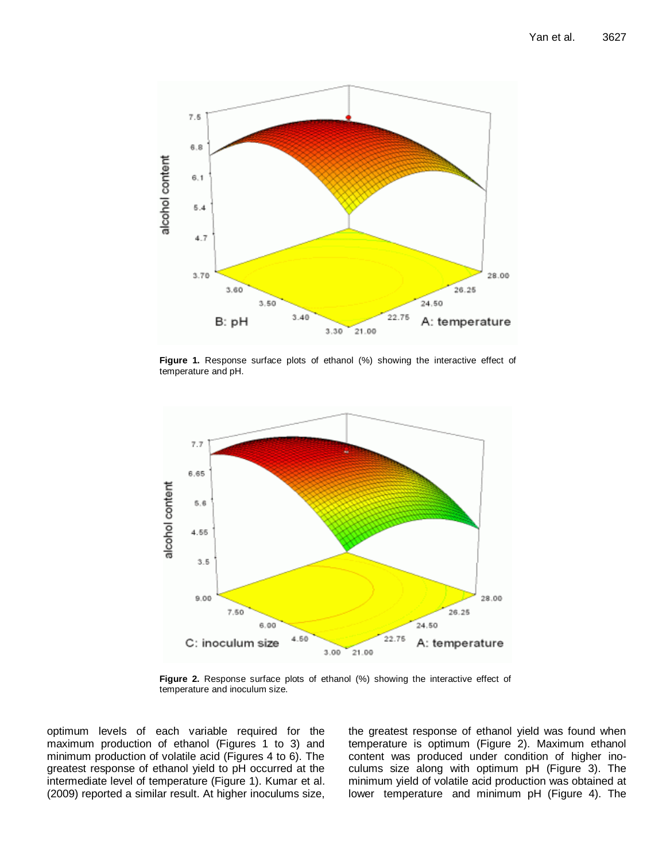

**Figure 1.** Response surface plots of ethanol (%) showing the interactive effect of temperature and pH.



**Figure 2.** Response surface plots of ethanol (%) showing the interactive effect of temperature and inoculum size.

optimum levels of each variable required for the maximum production of ethanol (Figures 1 to 3) and minimum production of volatile acid (Figures 4 to 6). The greatest response of ethanol yield to pH occurred at the intermediate level of temperature (Figure 1). Kumar et al. (2009) reported a similar result. At higher inoculums size,

the greatest response of ethanol yield was found when temperature is optimum (Figure 2). Maximum ethanol content was produced under condition of higher inoculums size along with optimum pH (Figure 3). The minimum yield of volatile acid production was obtained at lower temperature and minimum pH (Figure 4). The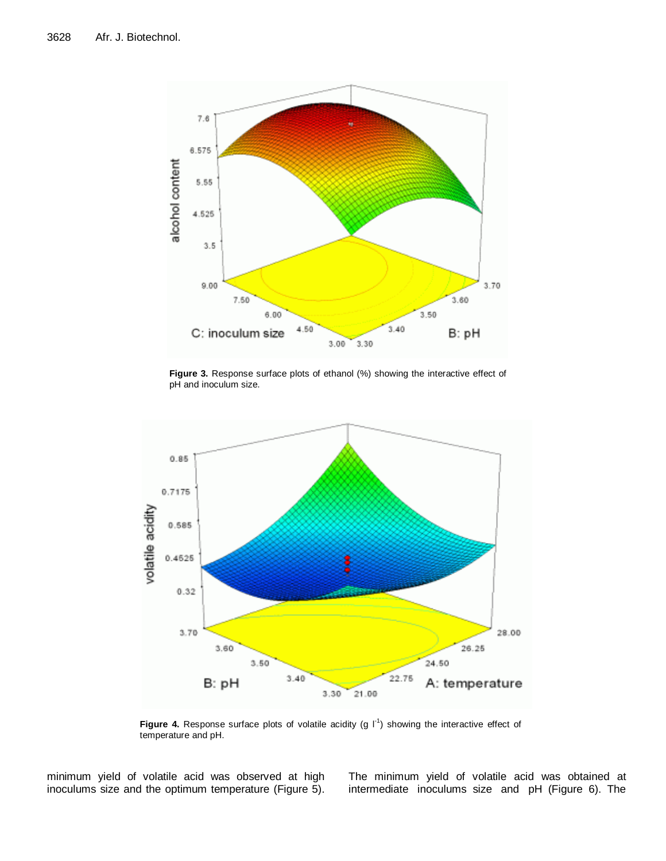

**Figure 3.** Response surface plots of ethanol (%) showing the interactive effect of pH and inoculum size.



Figure 4. Response surface plots of volatile acidity  $(g | I^1)$  showing the interactive effect of temperature and pH.

minimum yield of volatile acid was observed at high inoculums size and the optimum temperature (Figure 5). The minimum yield of volatile acid was obtained at intermediate inoculums size and pH (Figure 6). The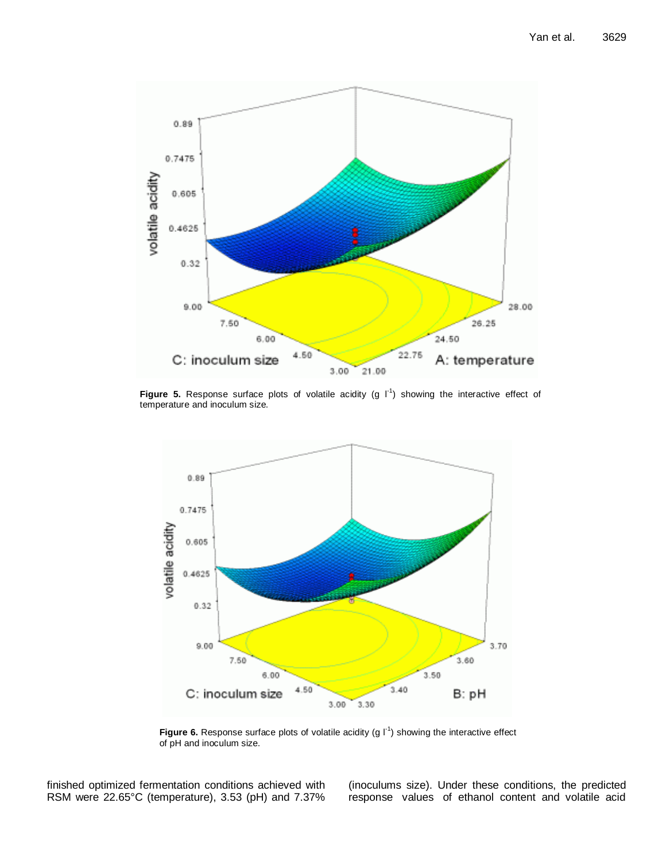

**Figure 5.** Response surface plots of volatile acidity  $(g \t{I}^1)$  showing the interactive effect of temperature and inoculum size.



**Figure 6.** Response surface plots of volatile acidity (g  $I^1$ ) showing the interactive effect of pH and inoculum size.

finished optimized fermentation conditions achieved with RSM were 22.65°C (temperature), 3.53 (pH) and 7.37% (inoculums size). Under these conditions, the predicted response values of ethanol content and volatile acid